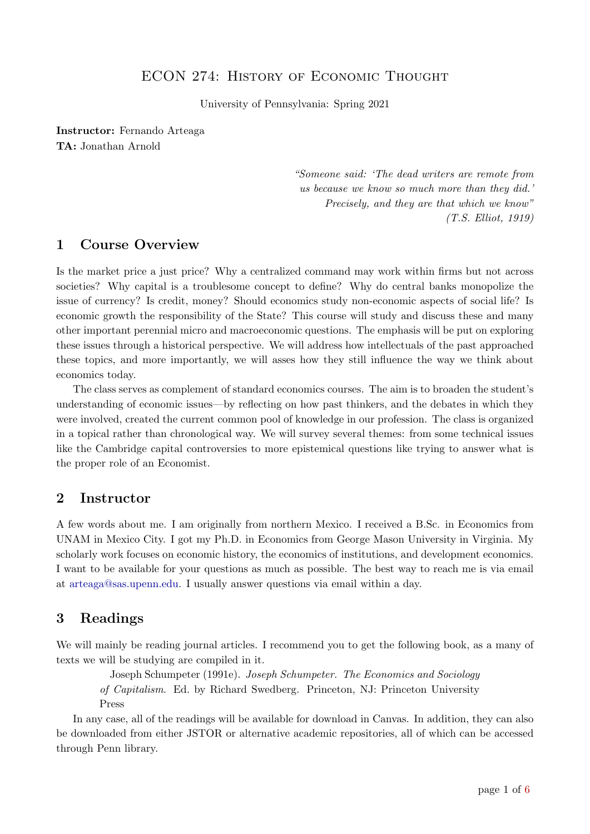### ECON 274: HISTORY OF ECONOMIC THOUGHT

University of Pennsylvania: Spring 2021

Instructor: Fernando Arteaga TA: Jonathan Arnold

> "Someone said: 'The dead writers are remote from us because we know so much more than they did.' Precisely, and they are that which we know" (T.S. Elliot, 1919)

#### 1 Course Overview

Is the market price a just price? Why a centralized command may work within firms but not across societies? Why capital is a troublesome concept to define? Why do central banks monopolize the issue of currency? Is credit, money? Should economics study non-economic aspects of social life? Is economic growth the responsibility of the State? This course will study and discuss these and many other important perennial micro and macroeconomic questions. The emphasis will be put on exploring these issues through a historical perspective. We will address how intellectuals of the past approached these topics, and more importantly, we will asses how they still influence the way we think about economics today.

The class serves as complement of standard economics courses. The aim is to broaden the student's understanding of economic issues—by reflecting on how past thinkers, and the debates in which they were involved, created the current common pool of knowledge in our profession. The class is organized in a topical rather than chronological way. We will survey several themes: from some technical issues like the Cambridge capital controversies to more epistemical questions like trying to answer what is the proper role of an Economist.

#### 2 Instructor

A few words about me. I am originally from northern Mexico. I received a B.Sc. in Economics from UNAM in Mexico City. I got my Ph.D. in Economics from George Mason University in Virginia. My scholarly work focuses on economic history, the economics of institutions, and development economics. I want to be available for your questions as much as possible. The best way to reach me is via email at [arteaga@sas.upenn.edu.](arteaga@sas.upenn.edu) I usually answer questions via email within a day.

### 3 Readings

We will mainly be reading journal articles. I recommend you to get the following book, as a many of texts we will be studying are compiled in it.

Joseph Schumpeter (1991e). Joseph Schumpeter. The Economics and Sociology of Capitalism. Ed. by Richard Swedberg. Princeton, NJ: Princeton University

Press

In any case, all of the readings will be available for download in Canvas. In addition, they can also be downloaded from either JSTOR or alternative academic repositories, all of which can be accessed through Penn library.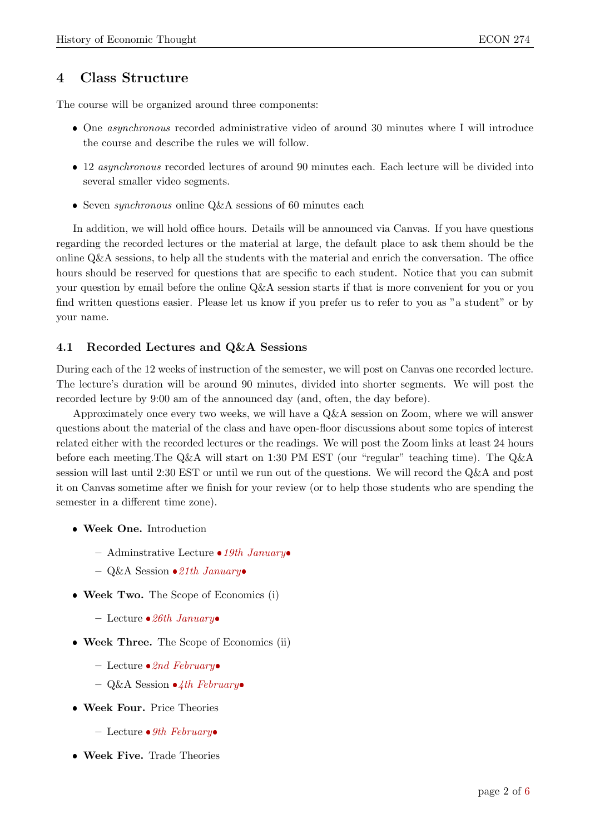### 4 Class Structure

The course will be organized around three components:

- One asynchronous recorded administrative video of around 30 minutes where I will introduce the course and describe the rules we will follow.
- 12 *asynchronous* recorded lectures of around 90 minutes each. Each lecture will be divided into several smaller video segments.
- Seven *synchronous* online  $Q\&A$  sessions of 60 minutes each

In addition, we will hold office hours. Details will be announced via Canvas. If you have questions regarding the recorded lectures or the material at large, the default place to ask them should be the online Q&A sessions, to help all the students with the material and enrich the conversation. The office hours should be reserved for questions that are specific to each student. Notice that you can submit your question by email before the online Q&A session starts if that is more convenient for you or you find written questions easier. Please let us know if you prefer us to refer to you as "a student" or by your name.

#### 4.1 Recorded Lectures and Q&A Sessions

During each of the 12 weeks of instruction of the semester, we will post on Canvas one recorded lecture. The lecture's duration will be around 90 minutes, divided into shorter segments. We will post the recorded lecture by 9:00 am of the announced day (and, often, the day before).

Approximately once every two weeks, we will have a Q&A session on Zoom, where we will answer questions about the material of the class and have open-floor discussions about some topics of interest related either with the recorded lectures or the readings. We will post the Zoom links at least 24 hours before each meeting.The Q&A will start on 1:30 PM EST (our "regular" teaching time). The Q&A session will last until 2:30 EST or until we run out of the questions. We will record the Q&A and post it on Canvas sometime after we finish for your review (or to help those students who are spending the semester in a different time zone).

- Week One. Introduction
	- Adminstrative Lecture  $\bullet 19$ th January
	- $-$  Q&A Session  $\bullet$  21th January
- Week Two. The Scope of Economics (i)
	- Lecture  $\bullet 26th$  January
- Week Three. The Scope of Economics (ii)
	- Lecture  $\bullet$  2nd February
	- Q&A Session  $\bullet$ 4th February
- Week Four. Price Theories
	- Lecture  $\bullet$  9th February
- Week Five. Trade Theories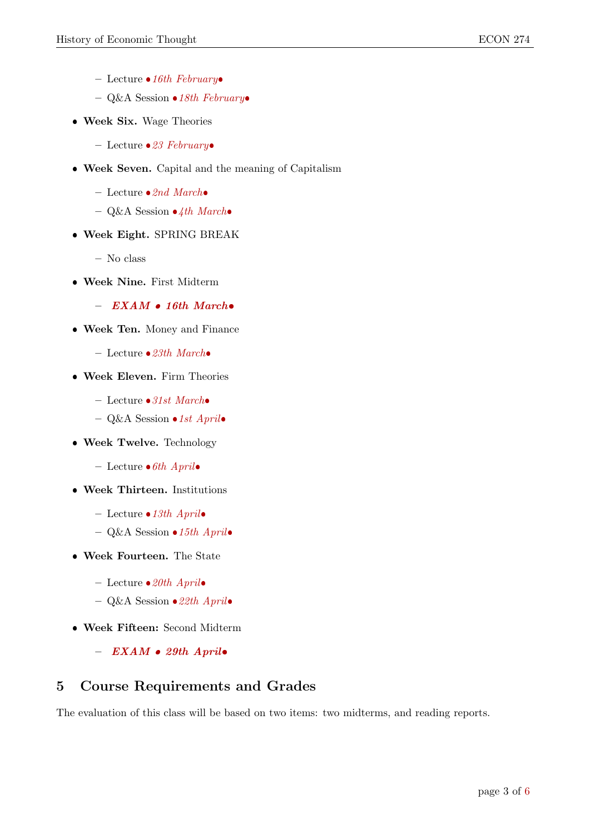- Lecture  $\bullet 16th$  February
- Q&A Session  $\bullet$  18th February
- Week Six. Wage Theories
	- Lecture  $\bullet$  23 February
- Week Seven. Capital and the meaning of Capitalism
	- Lecture  $\bullet$ 2nd March $\bullet$
	- Q&A Session  $\bullet$  4th March $\bullet$
- Week Eight. SPRING BREAK
	- No class
- Week Nine. First Midterm

 $-$  EXAM  $\bullet$  16th March $\bullet$ 

- Week Ten. Money and Finance
	- Lecture  $\bullet$  23th March $\bullet$
- Week Eleven. Firm Theories
	- Lecture  $\bullet$ 31st March $\bullet$
	- Q&A Session  $\bullet 1st$  Aprilo
- Week Twelve. Technology
	- Lecture  $\bullet$  6th Aprilo
- Week Thirteen. Institutions
	- Lecture  $\bullet 13th$  Aprilo
	- Q&A Session  $\bullet 15th$  Aprilo
- Week Fourteen. The State
	- Lecture  $\bullet 20th$  Aprilo
	- Q&A Session  $\bullet$  22th April $\bullet$
- Week Fifteen: Second Midterm
	- $-$  EXAM  $\bullet$  29th Aprilo

### 5 Course Requirements and Grades

The evaluation of this class will be based on two items: two midterms, and reading reports.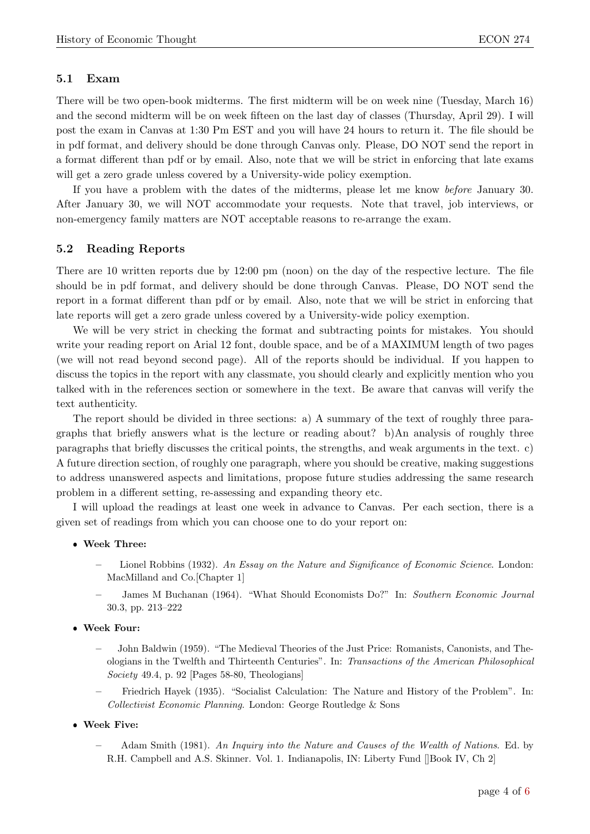#### 5.1 Exam

There will be two open-book midterms. The first midterm will be on week nine (Tuesday, March 16) and the second midterm will be on week fifteen on the last day of classes (Thursday, April 29). I will post the exam in Canvas at 1:30 Pm EST and you will have 24 hours to return it. The file should be in pdf format, and delivery should be done through Canvas only. Please, DO NOT send the report in a format different than pdf or by email. Also, note that we will be strict in enforcing that late exams will get a zero grade unless covered by a University-wide policy exemption.

If you have a problem with the dates of the midterms, please let me know before January 30. After January 30, we will NOT accommodate your requests. Note that travel, job interviews, or non-emergency family matters are NOT acceptable reasons to re-arrange the exam.

#### 5.2 Reading Reports

There are 10 written reports due by 12:00 pm (noon) on the day of the respective lecture. The file should be in pdf format, and delivery should be done through Canvas. Please, DO NOT send the report in a format different than pdf or by email. Also, note that we will be strict in enforcing that late reports will get a zero grade unless covered by a University-wide policy exemption.

We will be very strict in checking the format and subtracting points for mistakes. You should write your reading report on Arial 12 font, double space, and be of a MAXIMUM length of two pages (we will not read beyond second page). All of the reports should be individual. If you happen to discuss the topics in the report with any classmate, you should clearly and explicitly mention who you talked with in the references section or somewhere in the text. Be aware that canvas will verify the text authenticity.

The report should be divided in three sections: a) A summary of the text of roughly three paragraphs that briefly answers what is the lecture or reading about? b)An analysis of roughly three paragraphs that briefly discusses the critical points, the strengths, and weak arguments in the text. c) A future direction section, of roughly one paragraph, where you should be creative, making suggestions to address unanswered aspects and limitations, propose future studies addressing the same research problem in a different setting, re-assessing and expanding theory etc.

I will upload the readings at least one week in advance to Canvas. Per each section, there is a given set of readings from which you can choose one to do your report on:

#### Week Three:

- Lionel Robbins (1932). An Essay on the Nature and Significance of Economic Science. London: MacMilland and Co.[Chapter 1]
- James M Buchanan (1964). "What Should Economists Do?" In: Southern Economic Journal 30.3, pp. 213–222

## Week Four:

- John Baldwin (1959). "The Medieval Theories of the Just Price: Romanists, Canonists, and Theologians in the Twelfth and Thirteenth Centuries". In: Transactions of the American Philosophical Society 49.4, p. 92 [Pages 58-80, Theologians]
- Friedrich Hayek (1935). "Socialist Calculation: The Nature and History of the Problem". In: Collectivist Economic Planning. London: George Routledge & Sons
- Week Five:
	- Adam Smith (1981). An Inquiry into the Nature and Causes of the Wealth of Nations. Ed. by R.H. Campbell and A.S. Skinner. Vol. 1. Indianapolis, IN: Liberty Fund []Book IV, Ch 2]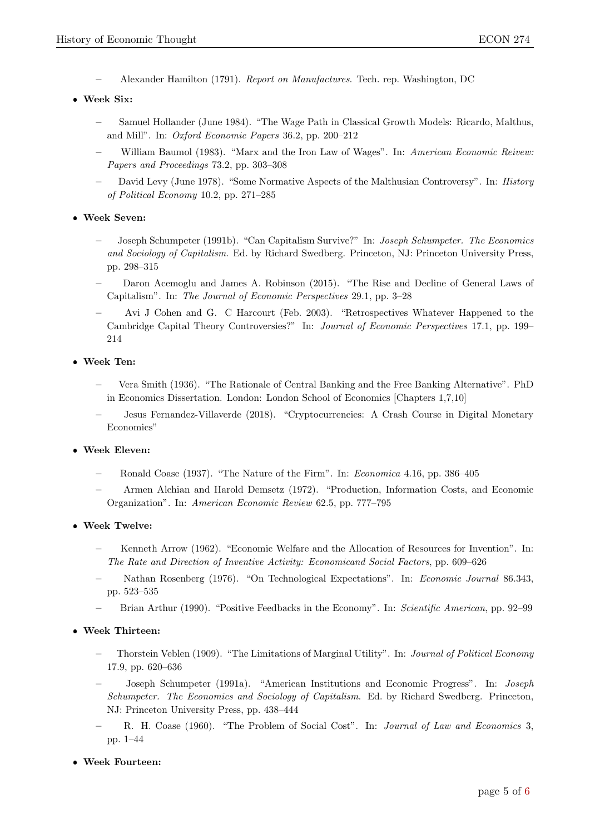- Alexander Hamilton (1791). Report on Manufactures. Tech. rep. Washington, DC
- Week Six:
	- Samuel Hollander (June 1984). "The Wage Path in Classical Growth Models: Ricardo, Malthus, and Mill". In: Oxford Economic Papers 36.2, pp. 200–212
	- William Baumol (1983). "Marx and the Iron Law of Wages". In: American Economic Reivew: Papers and Proceedings 73.2, pp. 303–308
	- David Levy (June 1978). "Some Normative Aspects of the Malthusian Controversy". In: History of Political Economy 10.2, pp. 271–285

#### Week Seven:

- Joseph Schumpeter (1991b). "Can Capitalism Survive?" In: Joseph Schumpeter. The Economics and Sociology of Capitalism. Ed. by Richard Swedberg. Princeton, NJ: Princeton University Press, pp. 298–315
- Daron Acemoglu and James A. Robinson (2015). "The Rise and Decline of General Laws of Capitalism". In: The Journal of Economic Perspectives 29.1, pp. 3–28
- Avi J Cohen and G. C Harcourt (Feb. 2003). "Retrospectives Whatever Happened to the Cambridge Capital Theory Controversies?" In: Journal of Economic Perspectives 17.1, pp. 199– 214

## Week Ten:

- Vera Smith (1936). "The Rationale of Central Banking and the Free Banking Alternative". PhD in Economics Dissertation. London: London School of Economics [Chapters 1,7,10]
- Jesus Fernandez-Villaverde (2018). "Cryptocurrencies: A Crash Course in Digital Monetary Economics"

## Week Eleven:

- Ronald Coase (1937). "The Nature of the Firm". In: Economica 4.16, pp. 386–405
- Armen Alchian and Harold Demsetz (1972). "Production, Information Costs, and Economic Organization". In: American Economic Review 62.5, pp. 777–795

### Week Twelve:

- Kenneth Arrow (1962). "Economic Welfare and the Allocation of Resources for Invention". In: The Rate and Direction of Inventive Activity: Economicand Social Factors, pp. 609–626
- Nathan Rosenberg (1976). "On Technological Expectations". In: Economic Journal 86.343, pp. 523–535
- Brian Arthur (1990). "Positive Feedbacks in the Economy". In: Scientific American, pp. 92–99

#### Week Thirteen:

- Thorstein Veblen (1909). "The Limitations of Marginal Utility". In: Journal of Political Economy 17.9, pp. 620–636
- Joseph Schumpeter (1991a). "American Institutions and Economic Progress". In: Joseph Schumpeter. The Economics and Sociology of Capitalism. Ed. by Richard Swedberg. Princeton, NJ: Princeton University Press, pp. 438–444
- R. H. Coase (1960). "The Problem of Social Cost". In: Journal of Law and Economics 3, pp. 1–44

#### Week Fourteen: